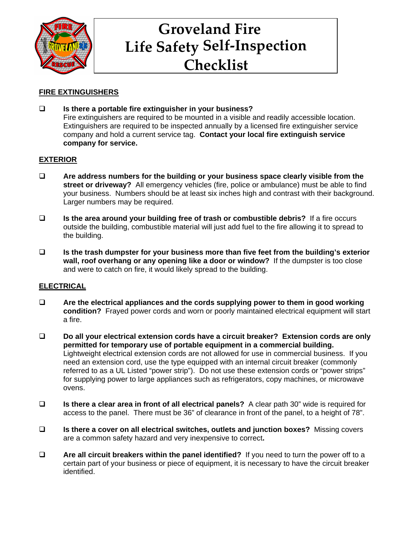

# **Groveland Fire Life Safety Self-Inspection Checklist**

# **FIRE EXTINGUISHERS**

 **Is there a portable fire extinguisher in your business?** Fire extinguishers are required to be mounted in a visible and readily accessible location. Extinguishers are required to be inspected annually by a licensed fire extinguisher service company and hold a current service tag. **Contact your local fire extinguish service company for service.**

# **EXTERIOR**

- **Are address numbers for the building or your business space clearly visible from the street or driveway?** All emergency vehicles (fire, police or ambulance) must be able to find your business. Numbers should be at least six inches high and contrast with their background. Larger numbers may be required.
- **Is the area around your building free of trash or combustible debris?** If a fire occurs outside the building, combustible material will just add fuel to the fire allowing it to spread to the building.
- **Is the trash dumpster for your business more than five feet from the building's exterior wall, roof overhang or any opening like a door or window?** If the dumpster is too close and were to catch on fire, it would likely spread to the building.

## **ELECTRICAL**

- **Are the electrical appliances and the cords supplying power to them in good working condition?** Frayed power cords and worn or poorly maintained electrical equipment will start a fire.
- **Do all your electrical extension cords have a circuit breaker? Extension cords are only permitted for temporary use of portable equipment in a commercial building.** Lightweight electrical extension cords are not allowed for use in commercial business. If you need an extension cord, use the type equipped with an internal circuit breaker (commonly referred to as a UL Listed "power strip"). Do not use these extension cords or "power strips" for supplying power to large appliances such as refrigerators, copy machines, or microwave ovens.
- **Is there a clear area in front of all electrical panels?** A clear path 30" wide is required for access to the panel. There must be 36" of clearance in front of the panel, to a height of 78".
- **Is there a cover on all electrical switches, outlets and junction boxes?** Missing covers are a common safety hazard and very inexpensive to correct**.**
- **Are all circuit breakers within the panel identified?** If you need to turn the power off to a certain part of your business or piece of equipment, it is necessary to have the circuit breaker identified.